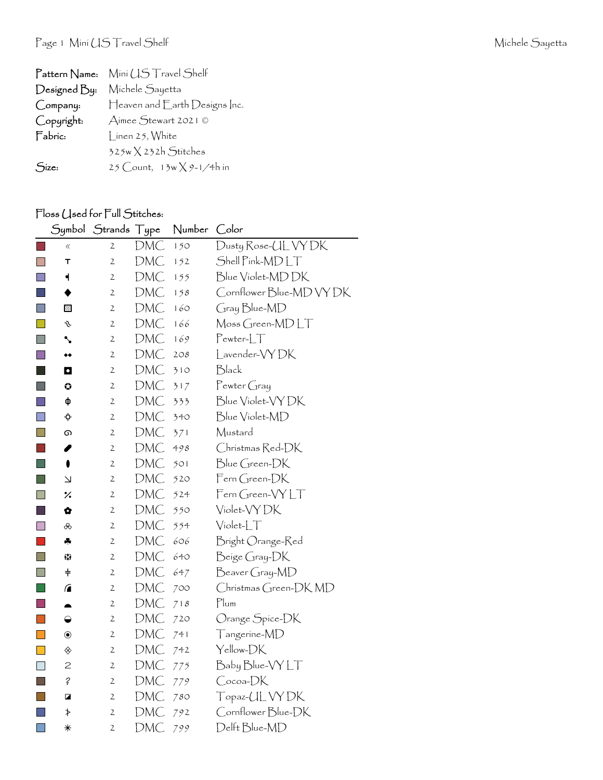| Pattern Name: | Mini US Travel Shelf               |
|---------------|------------------------------------|
| Designed By:  | Michele Sayetta                    |
| Company:      | Heaven and Earth Designs Inc.      |
| Copyright:    | Aimee Stewart 2021 ©               |
| Fabric:       | l inen 25, White                   |
|               | $325w \times 232h$ Stitches        |
| Size:         | 25 Count, $13w \times 9 - 1/4h$ in |

## Floss (Jsed for Full Stitches:

|                             | Symbol                             | Strands Type   |            | Number | Color                    |
|-----------------------------|------------------------------------|----------------|------------|--------|--------------------------|
|                             | ≪                                  | $\mathfrak{2}$ | DMC        | 150    | Dusty Rose-UL VY DK      |
|                             | т                                  | $\mathbf{2}$   | <b>DMC</b> | 152    | Shell Pink-MDLT          |
| $\Box$                      | ┥                                  | $\overline{c}$ | <b>DMC</b> | 155    | Blue Violet-MDDK         |
|                             |                                    | $\mathfrak{2}$ | DMC        | 158    | Cornflower Blue-MD VY DK |
| n                           | 圛                                  | $\mathbf{2}$   | DMC        | 160    | Gray Blue-MD             |
|                             | s                                  | $\overline{2}$ | DMC        | 166    | Moss Green-MDLT          |
| L.                          | ╲                                  | $\mathfrak{2}$ | <b>DMC</b> | 169    | $Pewter-LT$              |
| F I                         | ◆◆                                 | $\mathfrak{2}$ | DMC        | 208    | Lavender-VYDK            |
| ×.                          | O                                  | $\mathfrak{2}$ | DMC        | 310    | Black                    |
| H                           | ٥                                  | $\mathfrak{2}$ | DMC        | 317    | Pewter Gray              |
|                             | ф                                  | $\mathfrak{2}$ | DMC        | 333    | Blue Violet-VY DK        |
| H                           |                                    | 2              | DMC        | 340    | Blue Violet-MD           |
| $\mathbf{I}$                | ග                                  | $\mathfrak{2}$ | DMC        | 371    | Mustard                  |
|                             | I                                  | $\mathbf{2}$   | DMC        | 498    | Christmas Red-DK         |
|                             | 0                                  | $\mathfrak{2}$ | DMC        | 501    | Blue Green-DK            |
| l.                          | Σ                                  | 2              | DMC        | 520    | $\mathsf{Fem}$ Green-DK  |
| F.                          | $\frac{1}{2}$                      | 2              | DMC        | 524    | Fern Green-VYLT          |
| ×.                          | ✿                                  | $\mathfrak{2}$ | DMC        | 550    | Violet-VY DK             |
| $\Box$                      | ൿ                                  | $\mathfrak{2}$ | DMC        | 554    | $Violet-LT$              |
|                             | 4                                  | $\mathfrak{2}$ | DMC        | 606    | Bright Orange-Red        |
| I.                          | 83                                 | $\mathfrak{2}$ | <b>DMC</b> | 640    | Beige Gray-DK            |
| $\Box$                      | $\ddagger$                         | 2              | DMC        | 647    | Beaver Gray-MD           |
| l a                         | $\sqrt{2}$                         | $\mathfrak{2}$ | DMC        | 700    | Christmas Green-DK MD    |
| H                           | ▲                                  | $\mathfrak{2}$ | DMC        | 718    | Plum                     |
| $\Box$                      | ◒                                  | $\mathfrak{2}$ | DMC        | 720    | Orange Spice-DK          |
| $\mathcal{C}^{\mathcal{A}}$ | $\textcircled{\scriptsize\bullet}$ | 2              | DMC        | 741    | Tangerine-MD             |
|                             | ◈                                  | $\mathfrak{2}$ | DMC        | 742    | Yellow-DK                |
| H                           | $\mathbf{Z}$                       | $\mathfrak{2}$ | DMC        | 775    | Baby Blue-VYLT           |
|                             | $\acute{\epsilon}$                 | 2              | <b>DMC</b> | 779    | Cocoa-DK                 |
|                             | ◪                                  | 2              | DMC        | 780    | Topaz- <i>C</i> IL VY DK |
|                             | ≯                                  | $\mathbf 2$    | DMC        | 792    | Cornflower Blue-DK       |
| $\Box$                      | ⋇                                  | $\overline{2}$ | <b>DMC</b> | 799    | Delft Blue-MD            |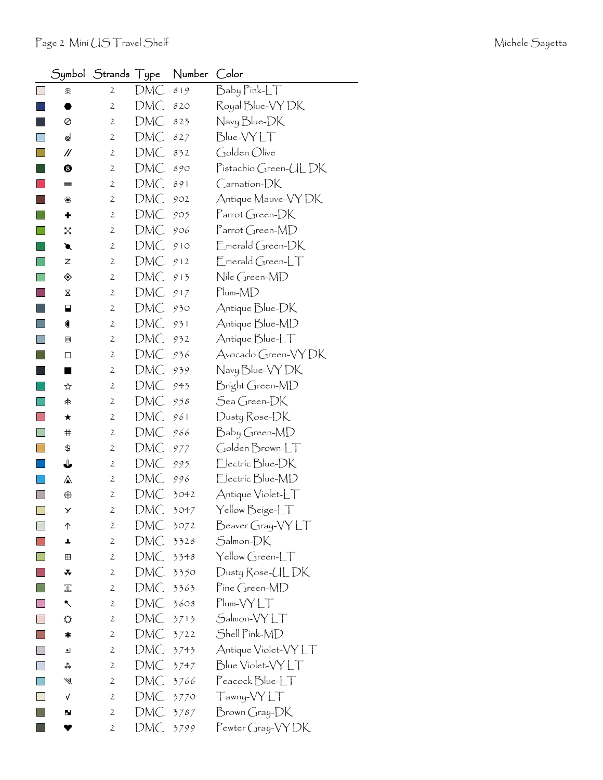|                          | Symbol      | Strands        | Type | Number | Color                                         |
|--------------------------|-------------|----------------|------|--------|-----------------------------------------------|
|                          | 余           | $\mathfrak{2}$ | DMC  | 819    | $B$ aby $P$ ink- $LT$                         |
|                          |             | 2              | DMC  | 820    | Royal Blue-VY DK                              |
|                          | 0           | $\mathfrak{2}$ | DMC  | 823    | Navy Blue-DK                                  |
|                          | ⊌           | 2              | DMC  | 827    | Blue-VYLT                                     |
|                          | //          | 2              | DMC  | 832    | Golden Olive                                  |
|                          | ❸           | 2              | DMC  | 890    | Pistachio Green-ULDK                          |
|                          | =           | 2              | DMC  | 891    | $\mathsf{C}$ arnation- $\mathsf{D}\mathsf{K}$ |
|                          | ❀           | 2              | DMC  | 902    | Antique Mauve-VY DK                           |
|                          | ۰           | 2              | DMC  | 905    | $\Gamma$ arrot Green- $\Box K$                |
|                          | X           | 2              | DMC  | 906    | Parrot Green-MD                               |
|                          | €           | 2              | DMC  | 910    | $\mathsf{F}_{\mathsf{merald}}$ Green-DK       |
|                          | Z           | $\mathbf{2}$   | DMC  | 912    | $\mathsf{F}_{\mathsf{merald}}$ Green-LT       |
|                          | ◈           | 2              | DMC  | 913    | Nile Green-MD                                 |
|                          | Χ           | $\mathfrak{2}$ | DMC  | 917    | $Plum-MD$                                     |
|                          | ⊟           | 2              | DMC  | 930    | Antique Blue-DK                               |
|                          |             | 2              | DMC  | 931    | Antique Blue-MD                               |
|                          | ▣           | 2              | DMC  | 932    | Antique Blue-LT                               |
|                          | □           | 2              | DMC  | 936    | Avocado Green-VYDK                            |
|                          | ٠           | 2              | DMC  | 939    | Navy Blue-VY DK                               |
|                          | ☆           | 2              | DMC  | 943    | Bright Green-MD                               |
|                          | 未           | 2              | DMC  | 958    | Sea Green-DK                                  |
|                          | ★           | 2              | DMC  | 961    | Dusty Rose-DK                                 |
|                          | ♯           | 2              | DMC  | 966    | Baby Green-MD                                 |
|                          | \$          | 2              | DMC  | 977    | Golden Brown-LT                               |
|                          | ⇓           | 2              | DMC  | 995    | Electric Blue-DK                              |
|                          | ⚠           | 2              | DMC  | 996    | Electric Blue-MD                              |
|                          | $_{\oplus}$ | 2              | DMC  | 3042   | Antique Violet-LT                             |
| $\overline{\phantom{a}}$ | У           | $\mathbf{2}$   | DMC  | 3047   | Yellow Beige-LT                               |
| $\mathbf{I}$             | ↑           | 2              | DMC  | 3072   | Beaver Gray-VYLT                              |
|                          | ┻           | 2              | DMC  | 3328   | Salmon-DK                                     |
|                          | ⊞           | 2              | DMC  | 3348   | Yellow Green-LT                               |
|                          | *           | $\mathfrak{2}$ | DMC  | 3350   | Dusty Rose-UL DK                              |
|                          | 皿           | 2              | DMC  | 3363   | Pine Green-MD                                 |
|                          | ↖           | 2              | DMC  | 3608   | $Plum- VYLT$                                  |
|                          | ⇔           | 2              | DMC  | 3713   | Salmon-VYLT                                   |
|                          | ∗           | $\mathbf{2}$   | DMC  | 3722   | Shell Pink-MD                                 |
|                          | ┛           | 2              | DMC  | 3743   | Antique Violet-VYLT                           |
|                          | ∗*          | 2              | DMC  | 3747   | Blue Violet-VYLT                              |
|                          | ₩           | $\mathbf{2}$   | DMC  | 3766   | $\mathsf{PacockBlue}\_\top$                   |
|                          | V           | 2              | DMC  | 3770   | Tawny-VYLT                                    |
|                          | ш           | $\mathfrak{2}$ | DMC  | 3787   | Brown Gray-DK                                 |
|                          |             | 2              | DMC  | 3799   | Pewter Gray-VY DK                             |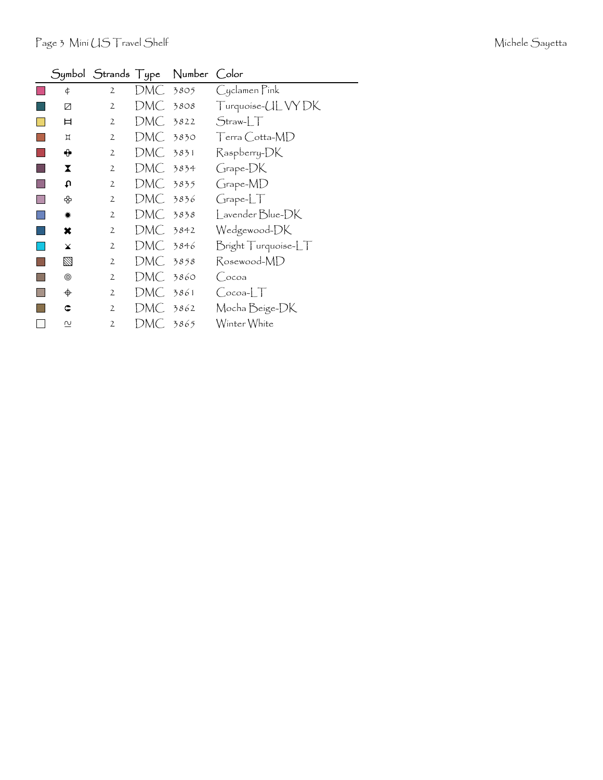|             |                |          | Symbol Strands Type Number Color |                            |
|-------------|----------------|----------|----------------------------------|----------------------------|
| ¢           | $\overline{2}$ | DMC .    | 3805                             | Cyclamen Pink              |
| Ø           | 2              | DMC.     | 3808                             | Turquoise- <i>UL</i> VY DK |
| ᄇ           | 2              | DMC.     | 3822                             | $Straw-1$                  |
| Д           | $\mathfrak{2}$ | DMC .    | 3830                             | $T$ erra Cotta-MD          |
| ⊕           | $\mathfrak{2}$ | DMC 3831 |                                  | Raspberry-DK               |
| X           | $\overline{2}$ | DMC.     | 3834                             | Grape-DK                   |
| ſ           | $\overline{2}$ | DMC 3835 |                                  | Grape-MD                   |
| ♧           | $\overline{2}$ | DMC 3836 |                                  | GrapherLT                  |
| ☀           | $\overline{2}$ | DMC .    | 3838                             | Lavender Blue-DK           |
| ×           | 2              | DMC 3842 |                                  | Wedgewood-DK               |
| $\mathbf x$ | $\overline{2}$ | DMC -    | 3846                             | Bright Turquoise-LT        |
| $\boxtimes$ | $\mathfrak{2}$ | DMC 3858 |                                  | Rosewood-MD                |
| ◉           | $\overline{2}$ | DMC .    | 3860                             | (coa                       |
| ♦           | $\overline{2}$ | DMC.     | 3861                             | $Cocoa-LT$                 |
| C           | 2              | DMC -    | 3862                             | Mocha Beige-DK             |
| N           | $\overline{2}$ | DMC 3865 |                                  | Winter White               |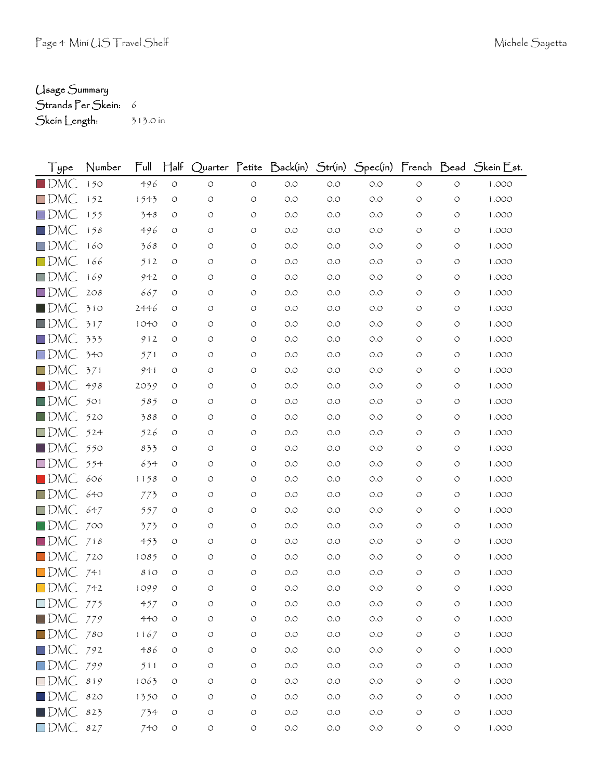## Usage Summary

Strands Per Skein: 6 Skein Length: 313.0 in

| Type                   | Number | Ful  | $\mathsf{H\!}\mathrm{a}\mathsf{f}$ |                    |            |       |       |                      |                    |                    | Quarter Petite Back(in) Str(in) Spec(in) French Bead Skein Est. |
|------------------------|--------|------|------------------------------------|--------------------|------------|-------|-------|----------------------|--------------------|--------------------|-----------------------------------------------------------------|
| $\blacksquare$ DMC     | 150    | 496  | $\circlearrowleft$                 | $\circlearrowleft$ | $\circ$    | $O.O$ | $O.O$ | O.O                  | $\circlearrowleft$ | $\circlearrowleft$ | 1.000                                                           |
| $\Box$ DMC             | 152    | 1543 | O                                  | $\circ$            | O          | O.O   | O.O   | O.O                  | O                  | O                  | 1.000                                                           |
| $\square$ DMC          | 155    | 348  | O                                  | O                  | O          | O.O   | 0.0   | O.O                  | O                  | O                  | 1.000                                                           |
| $\Box$ DMC             | 158    | 496  | $\circ$                            | O                  | O          | O.O   | O.O   | O.O                  | O                  | O                  | 1.000                                                           |
| $\Box$ DMC             | 160    | 368  | O                                  | O                  | O          | O.O   | O.O   | O.O                  | O                  | O                  | 1.000                                                           |
| $\Box$ DMC             | 166    | 512  | $\circ$                            | O                  | O          | O.O   | 0.0   | O.O                  | O                  | O                  | 1.000                                                           |
| $\Box$ DMC             | 169    | 942  | O                                  | O                  | O          | O.O   | O.O   | O.O                  | O                  | O                  | 1.000                                                           |
| $\Box$ DMC             | 2O8    | 667  | $\circ$                            | O                  | O          | O.O   | O.O   | O.O                  | O                  | O                  | 1.000                                                           |
| $\blacksquare$ dmC     | 310    | 2446 | O                                  | O                  | O          | O.O   | O.O   | O.O                  | O                  | O                  | 1.000                                                           |
| $\blacksquare$ DMC     | 317    | 1040 | O                                  | O                  | O          | O.O   | 0.0   | O.O                  | O                  | O                  | 1.000                                                           |
| $\square$ DMC          | 333    | 912  | O                                  | O                  | O          | O.O   | O.O   | O.O                  | O                  | O                  | 1.000                                                           |
| $\square$ DMC          | 340    | 571  | O                                  | O                  | O          | O.O   | O.O   | O.O                  | O                  | O                  | 1.000                                                           |
| $\Box$ DMC             | 371    | 941  | O                                  | O                  | O          | O.O   | 0.0   | O.O                  | O                  | O                  | 1.000                                                           |
| $\blacksquare$ DMC     | 498    | 2039 | O                                  | O                  | O          | O.O   | 0.0   | O.O                  | O                  | O                  | 1.000                                                           |
| $\blacksquare$ DMC     | 501    | 585  | O                                  | O                  | O          | O.O   | O.O   | O.O                  | O                  | O                  | 1.000                                                           |
| $\blacksquare$ DMC     | 520    | 388  | O                                  | O                  | O          | O.O   | 0.0   | O.O                  | O                  | O                  | 1.000                                                           |
| $\square$ DMC          | 524    | 526  | $\circ$                            | O                  | O          | O.O   | O.O   | O.O                  | O                  | O                  | 1.000                                                           |
| $\blacksquare$ DMC     | 550    | 833  | O                                  | O                  | O          | O.O   | O.O   | O.O                  | O                  | O                  | 1.000                                                           |
| $\square$ DMC          | 554    | 634  | O                                  | O                  | O          | O.O   | 0.0   | O.O                  | O                  | O                  | 1.000                                                           |
| $\blacksquare$ DMC     | 606    | 1158 | O                                  | O                  | O          | O.O   | 0.0   | O.O                  | O                  | O                  | 1.000                                                           |
| $\square$ DMC          | 640    | 773  | O                                  | O                  | O          | O.O   | O.O   | O.O                  | O                  | O                  | 1.000                                                           |
| $\square$ DMC          | 647    | 557  | O                                  | O                  | O          | O.O   | 0.0   | O.O                  | O                  | O                  | 1.000                                                           |
| $\blacksquare$ DMC     | 700    | 373  | O                                  | O                  | O          | O.O   | O.O   | O.O                  | O                  | O                  | 1.000                                                           |
| $\square$ DMC          | 718    | 453  | O                                  | O                  | O          | O.O   | 0.0   | O.O                  | O                  | O                  | 1.000                                                           |
| $\Box$ DMC             | 720    | 1085 | O                                  | O                  | O          | O.O   | 0.0   | O.O                  | O                  | O                  | 1.000                                                           |
| $\blacksquare$ DMC     | 741    | 810  | O                                  | O                  | O          | O.O   | O.O   | O.O                  | O                  | O                  | 1.000                                                           |
| $\Box$ DMC             | 742    | 1099 | $\circ$                            | $\circ$            | O          | O.O   | O.O   | O.O                  | O                  | O                  | 1.000                                                           |
| $\Box$ DMC 775         |        | 457  | O                                  | O                  | O          | O.O   | O.O   | O.O                  | O                  | O                  | 1.000                                                           |
| $\blacksquare$ DMC 779 |        | 440  | $\circ$                            | $\circlearrowleft$ | $\bigcirc$ | $O.O$ | $O.O$ | $O.O$                | O                  | $\circ$            | 1.000                                                           |
| $\blacksquare$ DMC 780 |        | 1167 | $\circ$                            | $\circ$            | $\bigcirc$ | $O.O$ | $O.O$ | $O.O$                | O                  | O                  | 1.000                                                           |
| $\Box$ DMC 792         |        | 486  | O                                  | O                  | O          | $O.O$ | $O.O$ | $O.O$                | O                  | O                  | 1.000                                                           |
| $\square$ DMC          | 799    | 511  | $\circ$                            | O                  | O          | $O.O$ | O.O   | $O.O$                | O                  | O                  | 1.000                                                           |
| $\square$ DMC          | 819    | 1063 | $\circ$                            | $\circ$            | O          | $O.O$ | $O.O$ | $O.O$                | O                  | O                  | 1.000                                                           |
| $\blacksquare$ DMC     | 820    | 1350 | $\circ$                            | O                  | O          | $O.O$ | $O.O$ | $O.O$                | O                  | O                  | 1.000                                                           |
| $\blacksquare$ DMC     | 823    | 734  | $\circ$                            | $\circlearrowleft$ | $\bigcirc$ | $O.O$ | $O.O$ | $O.O$                | O                  | O                  | 1.000                                                           |
| $\square$ DMC          | 827    | 740  | $\circ$                            | $\bigcirc$         | $\bigcirc$ | $O.O$ | $O.O$ | $\circ$ .<br>$\circ$ | $\bigcirc$         | $\bigcirc$         | 1.000                                                           |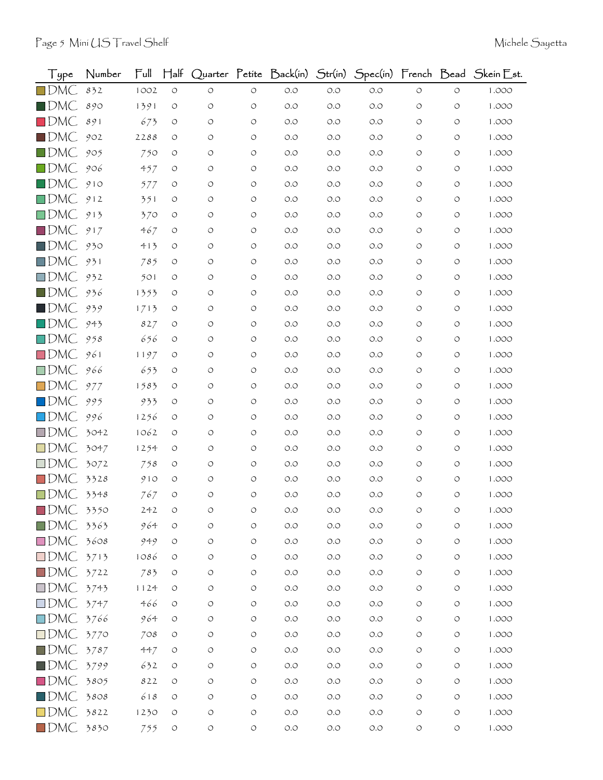| $\frac{1}{2}$ ype       | Number | $\mathsf{Full}$ | $H$ alf            |                    |                    | Quarter Petite Back(in) | Str(in) | Spec(in) French Bead |                    |                    | Skein Est. |
|-------------------------|--------|-----------------|--------------------|--------------------|--------------------|-------------------------|---------|----------------------|--------------------|--------------------|------------|
| $\square$ DMC           | 832    | 1002            | $\circ$            | $\circ$            | $\circ$            | $O.O$                   | $O.O$   | O.O                  | $\circlearrowleft$ | $\circ$            | 1.000      |
| $\blacksquare$ DMC      | 890    | 1391            | $\circ$            | O                  | O                  | O.O                     | $O.O$   | O.O                  | O                  | $\circ$            | 1.000      |
| $\Box$ DMC              | 891    | 673             | O                  | O                  | O                  | O.O                     | O.O     | O.O                  | O                  | $\circ$            | 1.000      |
| $\blacksquare$ DMC      | 902    | 2288            | O                  | $\circ$            | O                  | O.O                     | O.O     | O.O                  | O                  | O                  | 1.000      |
| $\blacksquare$ DMC      | 905    | 750             | O                  | O                  | O                  | O.O                     | O.O     | O.O                  | O                  | O                  | 1.000      |
| $\Box$ DMC              | 906    | 457             | O                  | $\circ$            | O                  | O.O                     | O.O     | O.O                  | O                  | O                  | 1.000      |
| $\blacksquare$ DMC      | 910    | 577             | O                  | O                  | O                  | O.O                     | O.O     | O.O                  | O                  | O                  | 1.000      |
| $\Box$ DMC              | 912    | 351             | O                  | O                  | O                  | O.O                     | O.O     | O.O                  | O                  | O                  | 1.000      |
| $\square$ DMC           | 913    | 370             | O                  | $\circ$            | O                  | O.O                     | O.O     | O.O                  | O                  | O                  | 1.000      |
| $\blacksquare$ DMC      | 917    | 467             | O                  | O                  | O                  | O.O                     | O.O     | O.O                  | O                  | O                  | 1.000      |
| $\blacksquare$ DMC      | 930    | 413             | O                  | O                  | O                  | O.O                     | O.O     | O.O                  | O                  | O                  | 1.000      |
| $\square$ DMC           | 931    | 785             | O                  | O                  | O                  | O.O                     | O.O     | O.O                  | O                  | $\circ$            | 1.000      |
| $\Box$ DMC              | 932    | 501             | O                  | O                  | O                  | O.O                     | O.O     | O.O                  | O                  | O                  | 1.000      |
| $\blacksquare$ DMC      | 936    | 1353            | O                  | O                  | O                  | O.O                     | O.O     | O.O                  | O                  | O                  | 1.000      |
| $\blacksquare$ DMC      | 939    | 1713            | O                  | O                  | O                  | O.O                     | O.O     | O.O                  | O                  | $\circ$            | 1.000      |
| $\square$ DMC           | 943    | 827             | O                  | O                  | O                  | O.O                     | O.O     | O.O                  | O                  | O                  | 1.000      |
| $\Box$ DMC              | 958    | 656             | O                  | O                  | O                  | O.O                     | O.O     | O.O                  | O                  | O                  | 1.000      |
| $\square$ DMC           | 961    | 1197            | O                  | O                  | O                  | O.O                     | O.O     | O.O                  | O                  | $\circ$            | 1.000      |
| $\square$ DMC.          | 966    | 653             | O                  | O                  | O                  | O.O                     | O.O     | O.O                  | O                  | O                  | 1.000      |
| $\square$ DMC           | 977    | 1583            | O                  | O                  | O                  | O.O                     | O.O     | O.O                  | O                  | O                  | 1.000      |
| $\square$ DMC           | 995    | 933             | O                  | O                  | O                  | O.O                     | $O.O$   | O.O                  | O                  | O                  | 1.000      |
| $\Box$ DMC              | 996    | 1256            | O                  | O                  | O                  | O.O                     | O.O     | O.O                  | O                  | $\circ$            | 1.000      |
| $\square$ DMC           | 3042   | 1062            | $\circ$            | $\circ$            | O                  | O.O                     | O.O     | O.O                  | O                  | O                  | 1.000      |
| $\square$ DMC           | 3047   | 1254            | O                  | O                  | O                  | O.O                     | O.O     | O.O                  | O                  | O                  | 1.000      |
| $\Box$ DMC              | 3072   | 758             | O                  | $\circ$            | O                  | O.O                     | O.O     | O.O                  | O                  | O                  | 1.000      |
| $\Box$ DMC              | 3328   | 910             | O                  | O                  | O                  | O.O                     | O.O     | O.O                  | O                  | O                  | 1.000      |
| $\Box$ DMC              | 3348   | 767             | $\circ$            | $\circ$            | O                  | $O.O$                   | $O.O$   | O.O                  | O                  | $\circ$            | 1.000      |
| $\blacksquare$ DMC      | 3350   | 242             | Ο                  | ∩                  | $\circ$            | O.O                     | O.O     | O.O                  | O                  | O                  | 1.000      |
| $\blacksquare$ DMC 3363 |        | 964             | $\circ$            | O                  | O                  | O.O                     | O.O     | O.O                  | O                  | $\circ$            | 1.000      |
| $\Box$ DMC              | 3608   | 949             | $\circ$            | $\circ$            | O                  | O.O                     | O.O     | O.O                  | O                  | $\circlearrowleft$ | 1.000      |
| $\square$ DMC           | 3713   | 1086            | O                  | O                  | O                  | O.O                     | $O.O$   | $O.O$                | O                  | O                  | 1.000      |
| $\square$ DMC           | 3722   | 783             | O                  | O                  | O                  | O.O                     | $O.O$   | O.O                  | O                  | $\circ$            | 1.000      |
| $\square$ DMC           | 3743   | 1124            | $\circ$            | O                  | O                  | O.O                     | $O.O$   | $O.O$                | O                  | $\circ$            | 1.000      |
| $\square$ DMC           | 3747   | 466             | O                  | O                  | O                  | O.O                     | $O.O$   | $O.O$                | O                  | O                  | 1.000      |
| $\square$ DMC           | 3766   | 964             | O                  | O                  | O                  | O.O                     | $O.O$   | O.O                  | O                  | $\circ$            | 1.000      |
| $\square$ DMC           | 3770   | 708             | $\circ$            | $\circ$            | O                  | O.O                     | $O.O$   | $O.O$                | O                  | $\circ$            | 1.000      |
| $\blacksquare$ DMC      | 3787   | 447             | O                  | O                  | O                  | $O.O$                   | $O.O$   | $O.O$                | O                  | O                  | 1.000      |
| $\blacksquare$ DMC      | 3799   | 632             | $\circ$            | O                  | O                  | O.O                     | $O.O$   | O.O                  | O                  | $\circ$            | 1.000      |
| $\square$ DMC           | 3805   | 822             | O                  | $\circ$            | O                  | $O.O$                   | $O.O$   | $O.O$                | O                  | $\circ$            | 1.000      |
| $\square$ DMC           | 3808   | 618             | O                  | O                  | O                  | O.O                     | $O.O$   | O.O                  | O                  | O                  | 1.000      |
| $\Box$ DMC              | 3822   | 1230            | O                  | O                  | O                  | O.O                     | O.O     | O.O                  | O                  | $\circ$            | 1.000      |
| $\blacksquare$ DMC      | 3830   | 755             | $\circlearrowleft$ | $\circlearrowleft$ | $\circlearrowleft$ | O.O                     | O.O     | O.O                  | $\circlearrowleft$ | $\circ$            | 1.000      |